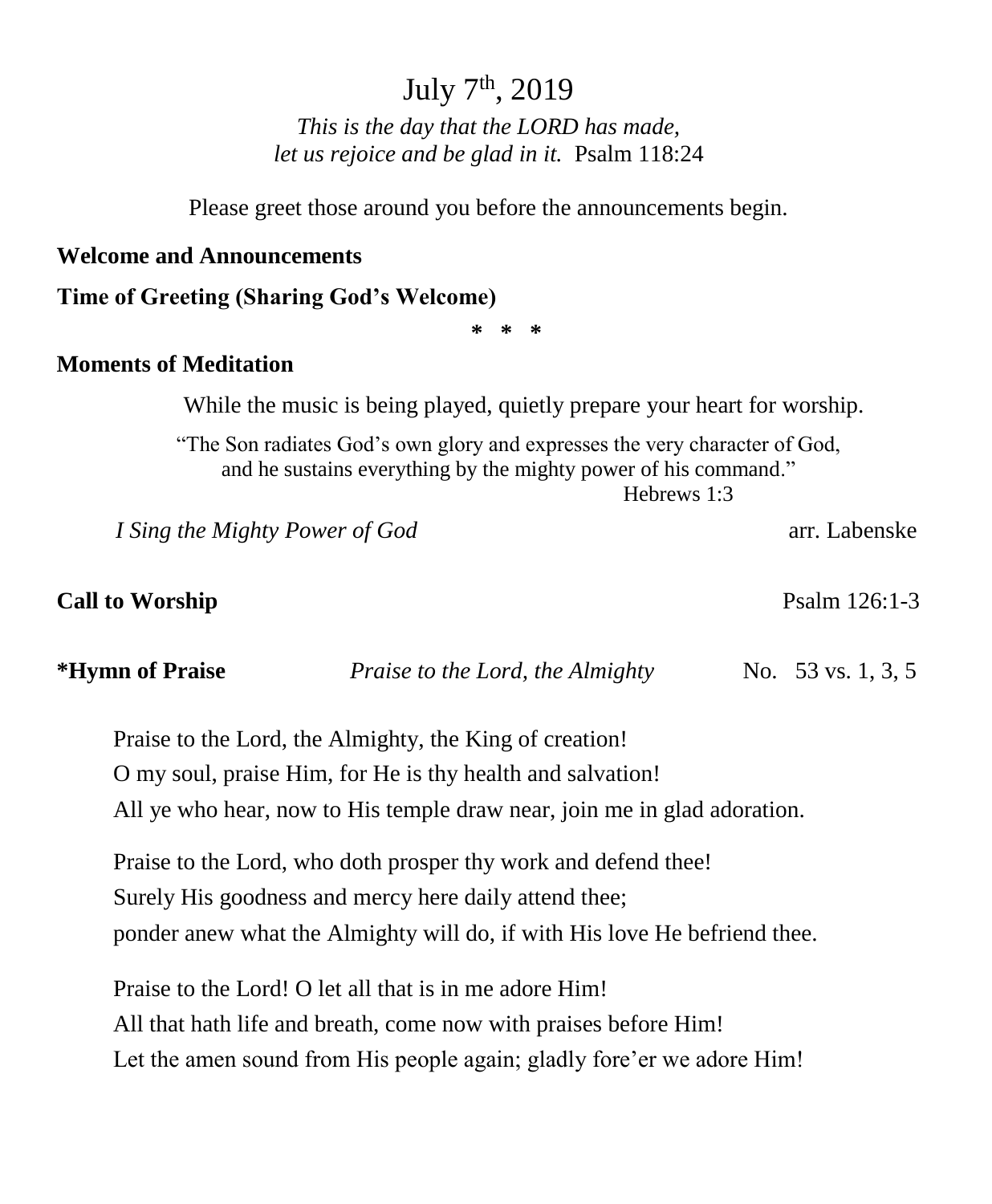# July 7<sup>th</sup>, 2019

*This is the day that the LORD has made, let us rejoice and be glad in it.* Psalm 118:24

Please greet those around you before the announcements begin.

#### **Welcome and Announcements**

**Time of Greeting (Sharing God's Welcome)**

**\* \* \***

#### **Moments of Meditation**

While the music is being played, quietly prepare your heart for worship.

"The Son radiates God's own glory and expresses the very character of God, and he sustains everything by the mighty power of his command." Hebrews 1:3

*I Sing the Mighty Power of God* arr. Labenske

**Call to Worship**  Psalm 126:1-3

**\*Hymn of Praise** *Praise to the Lord, the Almighty*No. 53 vs. 1, 3, 5

Praise to the Lord, the Almighty, the King of creation! O my soul, praise Him, for He is thy health and salvation! All ye who hear, now to His temple draw near, join me in glad adoration.

Praise to the Lord, who doth prosper thy work and defend thee! Surely His goodness and mercy here daily attend thee; ponder anew what the Almighty will do, if with His love He befriend thee.

Praise to the Lord! O let all that is in me adore Him! All that hath life and breath, come now with praises before Him! Let the amen sound from His people again; gladly fore'er we adore Him!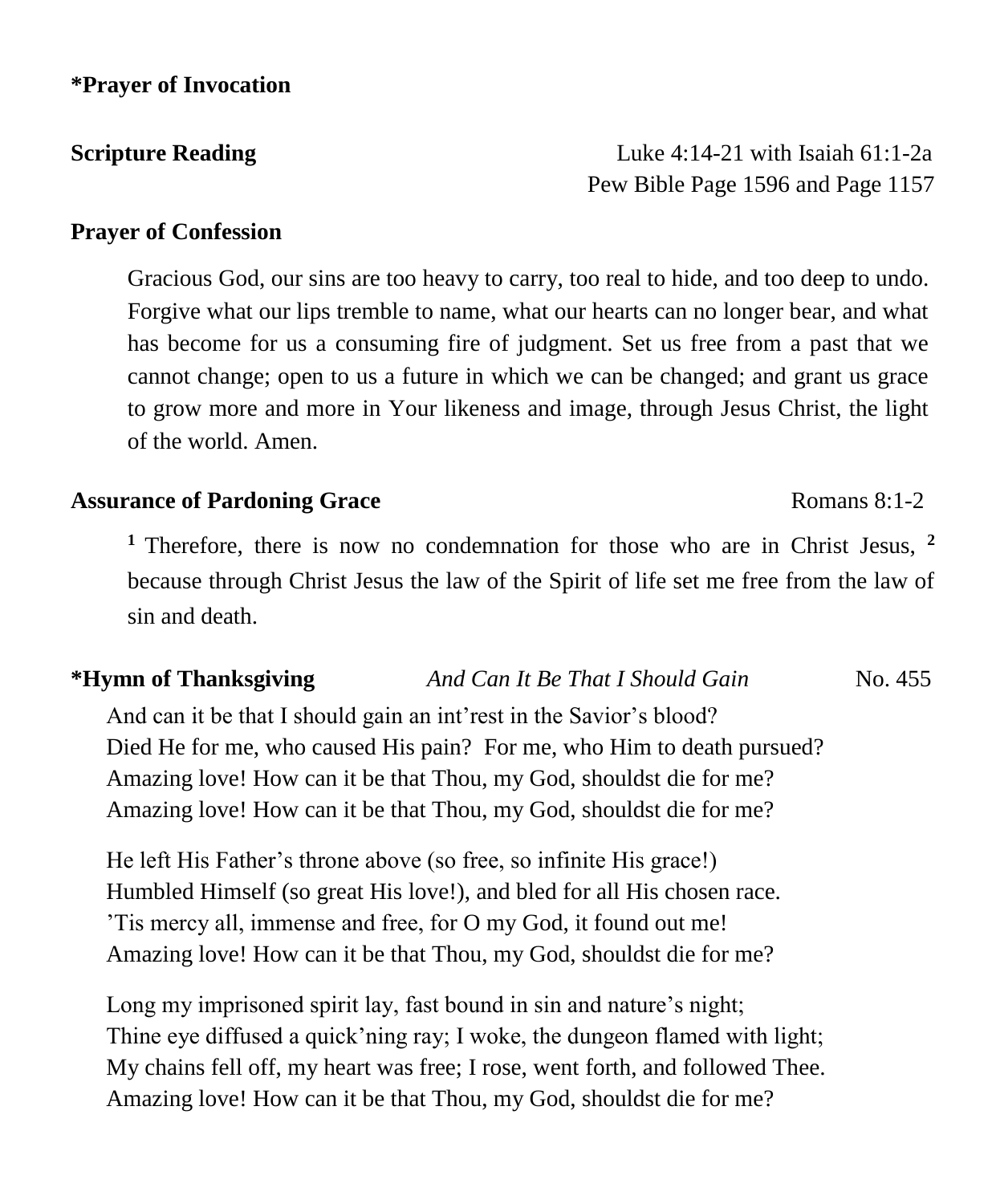#### **\*Prayer of Invocation**

**Scripture Reading** Luke 4:14-21 with Isaiah 61:1-2a Pew Bible Page 1596 and Page 1157

#### **Prayer of Confession**

Gracious God, our sins are too heavy to carry, too real to hide, and too deep to undo. Forgive what our lips tremble to name, what our hearts can no longer bear, and what has become for us a consuming fire of judgment. Set us free from a past that we cannot change; open to us a future in which we can be changed; and grant us grace to grow more and more in Your likeness and image, through Jesus Christ, the light of the world. Amen.

#### **Assurance of Pardoning Grace Romans 8:1-2 Romans 8:1-2**

**<sup>1</sup>**Therefore, there is now no condemnation for those who are in Christ Jesus, **<sup>2</sup>** because through Christ Jesus the law of the Spirit of life set me free from the law of sin and death.

### **\*Hymn of Thanksgiving** *And Can It Be That I Should Gain* No. 455

And can it be that I should gain an int'rest in the Savior's blood? Died He for me, who caused His pain? For me, who Him to death pursued? Amazing love! How can it be that Thou, my God, shouldst die for me? Amazing love! How can it be that Thou, my God, shouldst die for me?

He left His Father's throne above (so free, so infinite His grace!) Humbled Himself (so great His love!), and bled for all His chosen race. 'Tis mercy all, immense and free, for O my God, it found out me! Amazing love! How can it be that Thou, my God, shouldst die for me?

Long my imprisoned spirit lay, fast bound in sin and nature's night; Thine eye diffused a quick'ning ray; I woke, the dungeon flamed with light; My chains fell off, my heart was free; I rose, went forth, and followed Thee. Amazing love! How can it be that Thou, my God, shouldst die for me?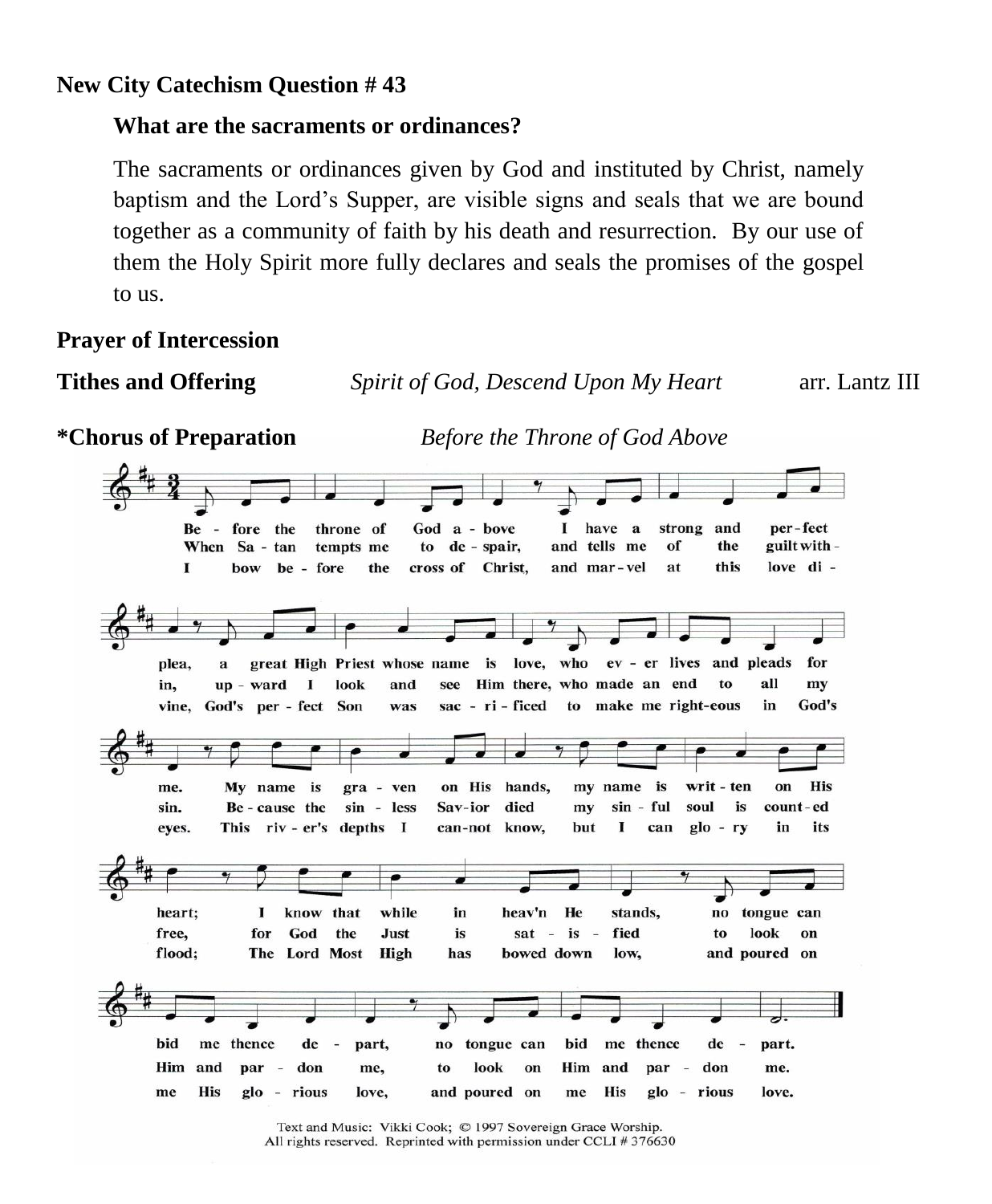### **New City Catechism Question # 43**

### **What are the sacraments or ordinances?**

The sacraments or ordinances given by God and instituted by Christ, namely baptism and the Lord's Supper, are visible signs and seals that we are bound together as a community of faith by his death and resurrection. By our use of them the Holy Spirit more fully declares and seals the promises of the gospel to us.

### **Prayer of Intercession**

**Tithes and Offering** *Spirit of God, Descend Upon My Heart* arr. Lantz III

**\*Chorus of Preparation** *Before the Throne of God Above* 

| per-fect<br>God a - bove<br>1.<br>have a<br>strong and<br>Be - fore the<br>throne of                                                                                                                                                                                                                      |
|-----------------------------------------------------------------------------------------------------------------------------------------------------------------------------------------------------------------------------------------------------------------------------------------------------------|
| and tells me<br>of<br>the<br>guilt with -<br>to de - spair,<br>When Sa - tan<br>tempts me                                                                                                                                                                                                                 |
| this<br>love di -<br>the<br>cross of Christ.<br>and mar-vel<br>bow be - fore<br>at<br>I                                                                                                                                                                                                                   |
|                                                                                                                                                                                                                                                                                                           |
| great High Priest whose name is love, who ev - er lives and pleads<br>for<br>plea.<br>a                                                                                                                                                                                                                   |
| all<br>Him there, who made an end<br>to<br>I look<br>and<br>up - ward<br>see<br>my<br>in,                                                                                                                                                                                                                 |
| sac - ri - ficed to make me right-eous<br>God's<br>in<br>vine, God's per - fect Son<br>was                                                                                                                                                                                                                |
| my name is<br>writ - ten<br><b>His</b><br>on His hands,<br>My name is<br>on<br>gra - ven<br>me.<br>Sav-ior died<br>sin - ful<br>soul<br>is<br>Be - cause the<br>sin - less<br>count-ed<br>sin.<br>my<br>1<br>$g$ lo - ry<br>its<br>This riv - er's depths I<br>can-not know,<br>can<br>in<br>but<br>eyes. |
| heart:<br>know that<br>while<br>heav'n<br>He<br>stands,<br>no tongue can<br>1<br>in<br>God<br>the<br>fied<br>look<br>for<br>Just<br>is<br>$sat - is -$<br>to<br>free.<br>on                                                                                                                               |
| The Lord Most<br>High<br>bowed down<br>and poured on<br>flood;<br>low,<br>has                                                                                                                                                                                                                             |
| bid<br>me thence<br>$de -$<br>bid<br>me thence<br>no tongue can<br>$de -$<br>part,<br>part.<br>Him and<br>look<br>Him and<br>par - don<br>par - don<br>to<br>on<br>me.<br>me.                                                                                                                             |
| <b>His</b><br>glo - rious<br>and poured on<br><b>His</b><br>glo - rious<br>love.<br>love.<br>me<br>me                                                                                                                                                                                                     |

Text and Music: Vikki Cook; © 1997 Sovereign Grace Worship. All rights reserved. Reprinted with permission under CCLI # 376630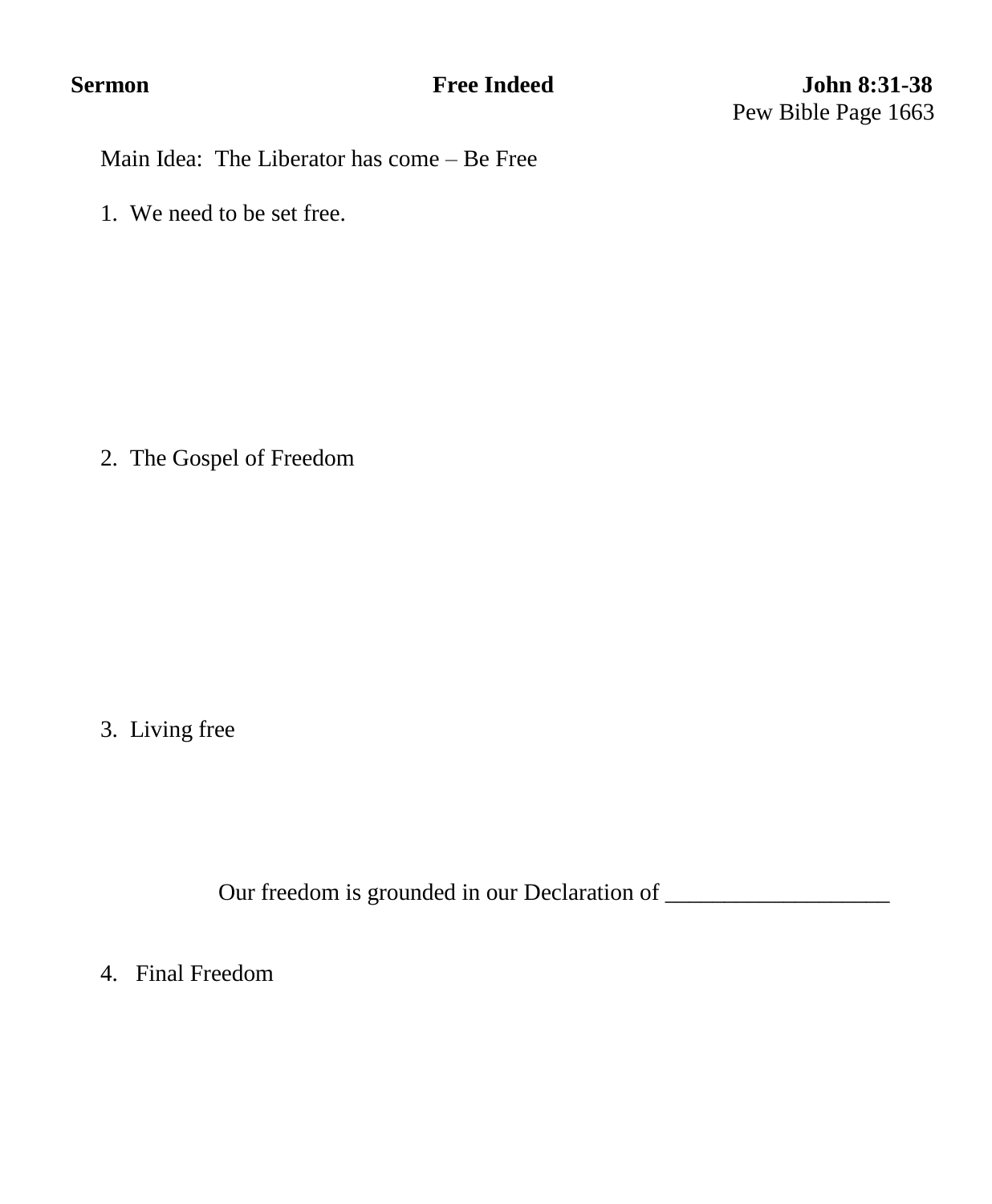Main Idea: The Liberator has come – Be Free

1. We need to be set free.

2. The Gospel of Freedom

3. Living free

Our freedom is grounded in our Declaration of \_\_\_\_\_\_\_\_\_\_\_\_\_\_\_\_\_\_\_

4. Final Freedom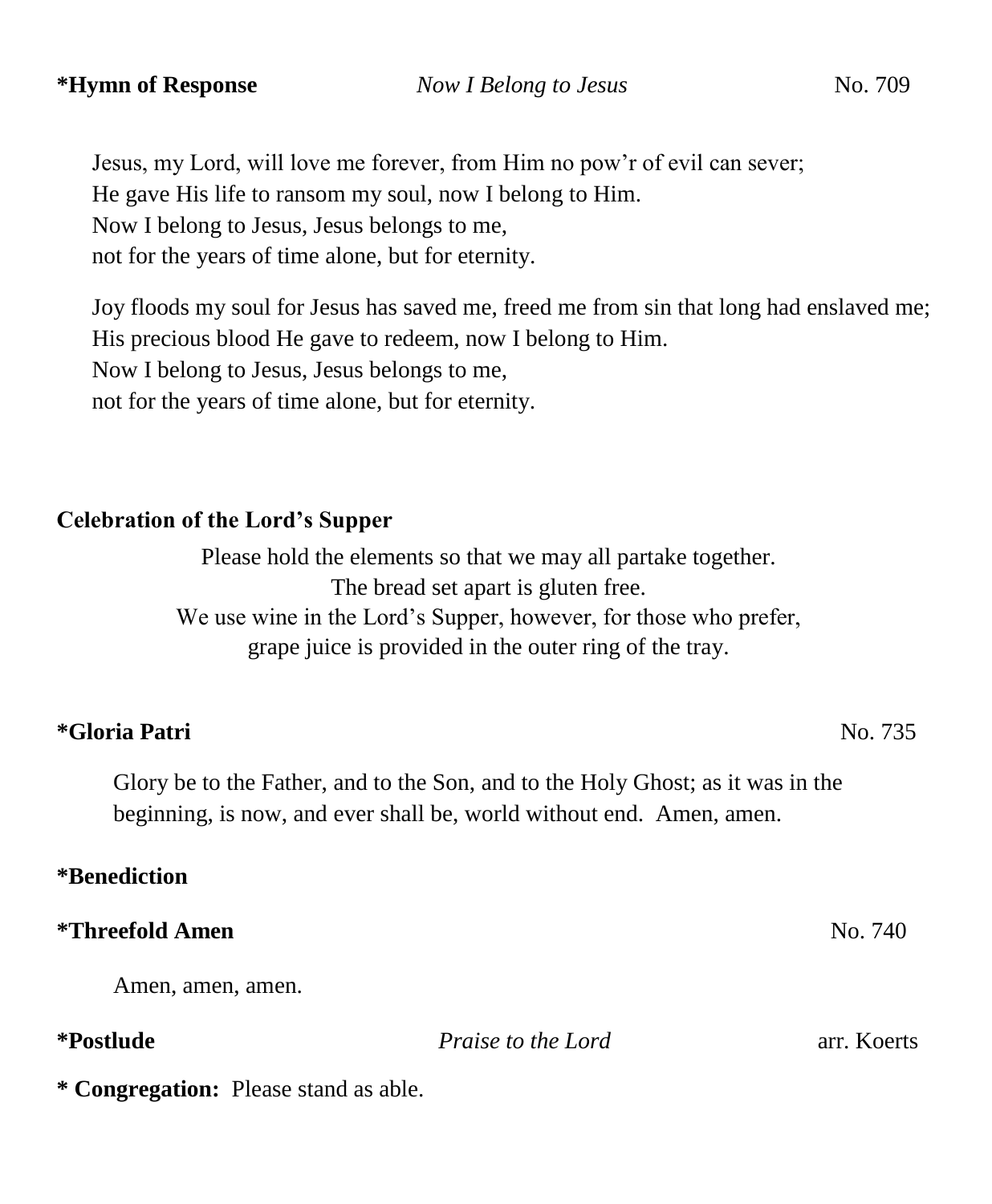Jesus, my Lord, will love me forever, from Him no pow'r of evil can sever; He gave His life to ransom my soul, now I belong to Him. Now I belong to Jesus, Jesus belongs to me, not for the years of time alone, but for eternity.

Joy floods my soul for Jesus has saved me, freed me from sin that long had enslaved me; His precious blood He gave to redeem, now I belong to Him. Now I belong to Jesus, Jesus belongs to me, not for the years of time alone, but for eternity.

#### **Celebration of the Lord's Supper**

Please hold the elements so that we may all partake together. The bread set apart is gluten free. We use wine in the Lord's Supper, however, for those who prefer, grape juice is provided in the outer ring of the tray.

#### **\*Gloria Patri** No. 735

Glory be to the Father, and to the Son, and to the Holy Ghost; as it was in the beginning, is now, and ever shall be, world without end. Amen, amen.

### **\*Benediction**

#### **\*Threefold Amen** No. 740

Amen, amen, amen.

**\*Postlude** *Praise to the Lord* arr. Koerts

**\* Congregation:** Please stand as able.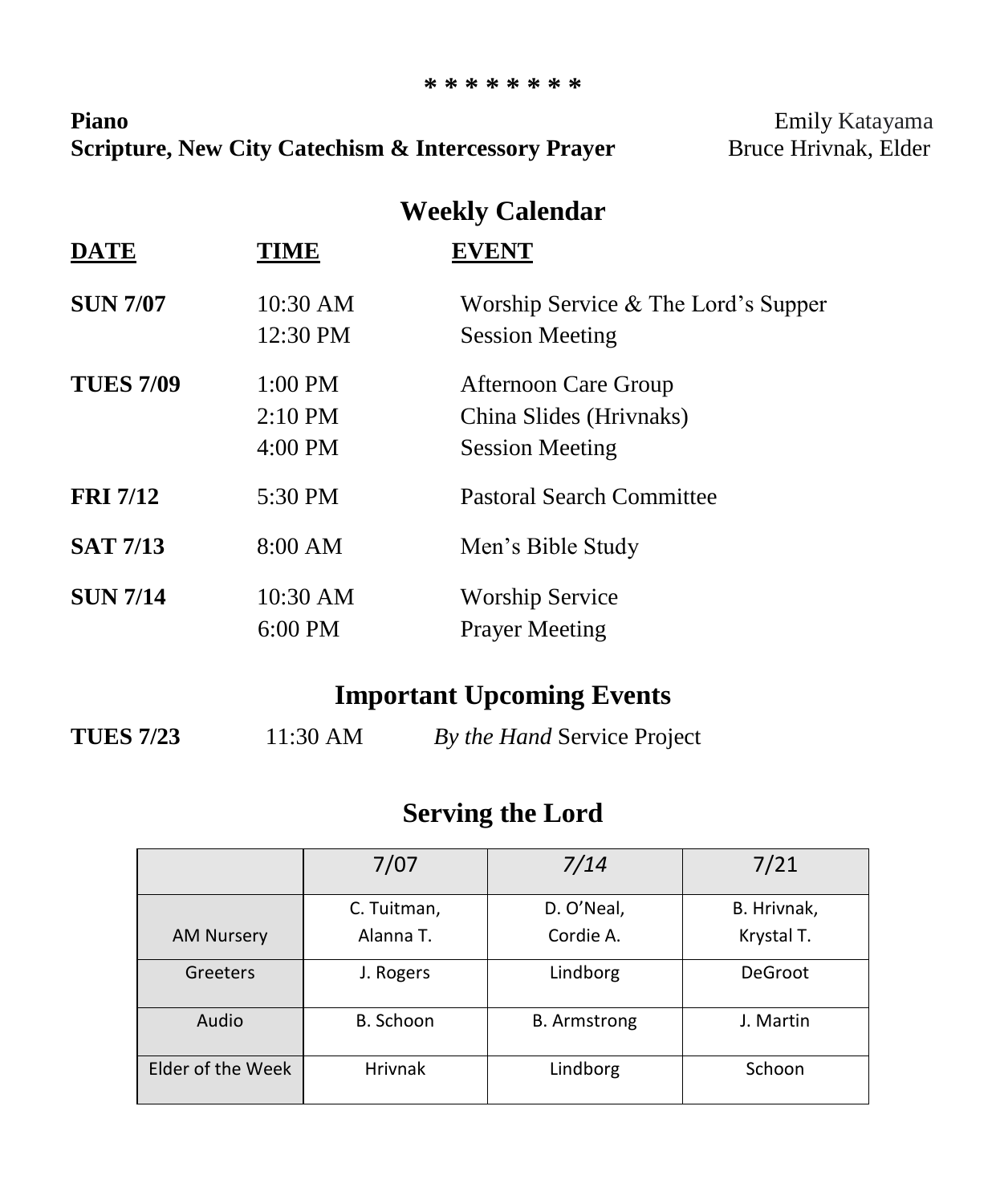#### **\* \* \* \* \* \* \* \***

Piano **Piano Emily Katayama Scripture, New City Catechism & Intercessory Prayer** Bruce Hrivnak, Elder

## **Weekly Calendar**

| <b>DATE</b>      | TIME      | <b>EVENT</b>                          |
|------------------|-----------|---------------------------------------|
| <b>SUN 7/07</b>  | 10:30 AM  | Worship Service $&$ The Lord's Supper |
|                  | 12:30 PM  | <b>Session Meeting</b>                |
| <b>TUES 7/09</b> | $1:00$ PM | Afternoon Care Group                  |
|                  | $2:10$ PM | China Slides (Hrivnaks)               |
|                  | 4:00 PM   | <b>Session Meeting</b>                |
| <b>FRI 7/12</b>  | 5:30 PM   | <b>Pastoral Search Committee</b>      |
| <b>SAT 7/13</b>  | 8:00 AM   | Men's Bible Study                     |
| <b>SUN 7/14</b>  | 10:30 AM  | <b>Worship Service</b>                |
|                  | $6:00$ PM | <b>Prayer Meeting</b>                 |

## **Important Upcoming Events**

**TUES 7/23** 11:30 AM *By the Hand* Service Project

## **Serving the Lord**

|                   | 7/07           | 7/14                | 7/21           |
|-------------------|----------------|---------------------|----------------|
|                   | C. Tuitman,    | D. O'Neal,          | B. Hrivnak,    |
| <b>AM Nursery</b> | Alanna T.      | Cordie A.           | Krystal T.     |
| Greeters          | J. Rogers      | Lindborg            | <b>DeGroot</b> |
| Audio             | B. Schoon      | <b>B.</b> Armstrong | J. Martin      |
| Elder of the Week | <b>Hrivnak</b> | Lindborg            | Schoon         |